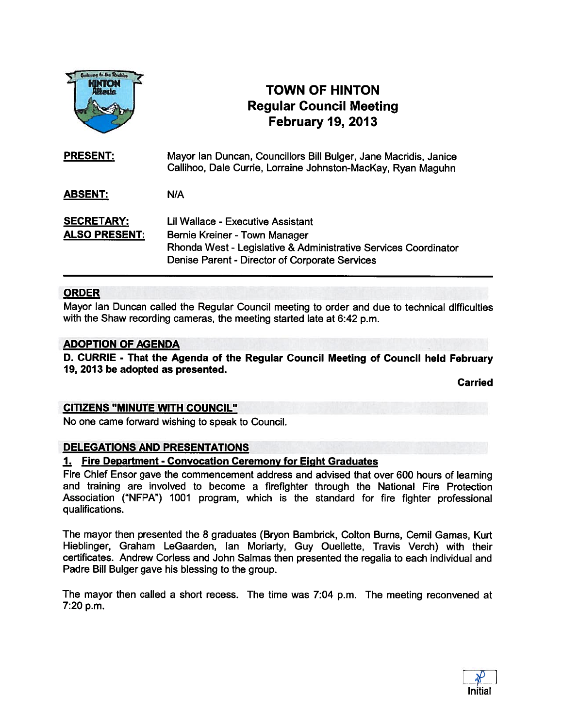

# TOWN OF HINTON Regular Council Meeting February 19, 2013

| <b>PRESENT:</b>                           | Mayor Ian Duncan, Councillors Bill Bulger, Jane Macridis, Janice<br>Callihoo, Dale Currie, Lorraine Johnston-MacKay, Ryan Maguhn                                                               |
|-------------------------------------------|------------------------------------------------------------------------------------------------------------------------------------------------------------------------------------------------|
| <b>ABSENT:</b>                            | N/A                                                                                                                                                                                            |
| <b>SECRETARY:</b><br><b>ALSO PRESENT:</b> | <b>Lil Wallace - Executive Assistant</b><br>Bernie Kreiner - Town Manager<br>Rhonda West - Legislative & Administrative Services Coordinator<br>Denise Parent - Director of Corporate Services |

## ORDER

Mayor lan Duncan called the Regular Council meeting to order and due to technical difficulties with the Shaw recording cameras, the meeting started late at 6:42 p.m.

#### ADOPTION OF AGENDA

D. CURRIE - That the Agenda of the Regular Council Meeting of Council held February 19, 2013 be adopted as presented.

**Carried** 

## CITIZENS "MINUTE WITH COUNCIL"

No one came forward wishing to speak to Council.

#### DELEGATIONS AND PRESENTATIONS

#### 1. Fire Department - Convocation Ceremony for Eight Graduates

Fire Chief Ensor gave the commencement address and advised that over <sup>600</sup> hours of learning and training are involved to become <sup>a</sup> firefighter through the National Fire Protection Association ("NFPA") 1001 program, which is the standard for fire fighter professional qualifications.

The mayor then presented the 8 graduates (Bryon Bambrick, Colton Burns, Cemil Gamas, Kurt Hieblinger, Graham LeGaarden, Ian Moriarty, Guy Quellette, Travis Verch) with their certificates. Andrew Corless and John Salmas then presented the regalia to each individual and Padre Bill Bulger gave his blessing to the group.

The mayor then called <sup>a</sup> short recess. The time was 7:04 p.m. The meeting reconvened at 7:20 p.m.

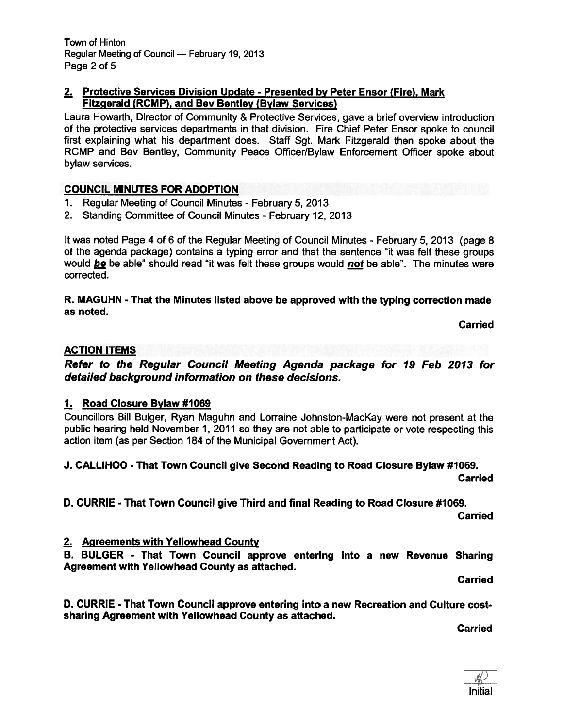## 2. Protective Services Division Update - Presented by Peter Ensor (Fire), Mark Fitzgerald (RCMP), and Bev Bentley (Bylaw Services)

Laura Howarth, Director of Community & Protective Services, gave <sup>a</sup> brief overview introduction of the protective services departments in that division. Fire Chief Peter Ensor spoke to council first explaining what his department does. Staff Sgt. Mark Fitzgerald then spoke about the RCMP and Bev Bentley, Community Peace Officer/Bylaw Enforcement Officer spoke about bylaw services.

# COUNCIL MINUTES FOR ADOPTION

- 1. Regular Meeting of Council Minutes February 5, 2013
- 2. Standing Committee of Council Minutes February 12, 2013

It was noted Page 4 of <sup>6</sup> of the Regular Meeting of Council Minutes - February 5, 2013 (page 8 of the agenda package) contains <sup>a</sup> typing error and that the sentence "it was felt these groups would be be able" should read "it was felt these groups would not be able". The minutes were corrected.

R. MAGUHN - That the Minutes listed above be approved with the typing correction made as noted.

Carried

## ACTION ITEMS

Refer to the Regular Council Meeting Agenda package for 19 Feb 2013 for detailed background information on these decisions.

## 1. Road Closure Bylaw #1069

Councillors Bill Bulger, Ryan Maguhn and Lorraine Johnston-MacKay were not presen<sup>t</sup> at the public hearing held November 1, 2011 so they are not able to participate or vote respecting this action item (as per Section 184 of the Municipal Government Act).

J. CALLIHOO - That Town Council give Second Reading to Road Closure Bylaw #1069.

Carried

D. CURRIE - That Town Council give Third and final Reading to Road Closure #1069.

Carried

## 2. Agreements with Yellowhead County

B. BULGER - That Town Council approve entering into <sup>a</sup> new Revenue Sharing Agreement with Yellowhead County as attached.

Carried

D. CURRIE - That Town Council approve entering into <sup>a</sup> new Recreation and Culture cost sharing Agreement with Yellowhead County as attached.

Carried

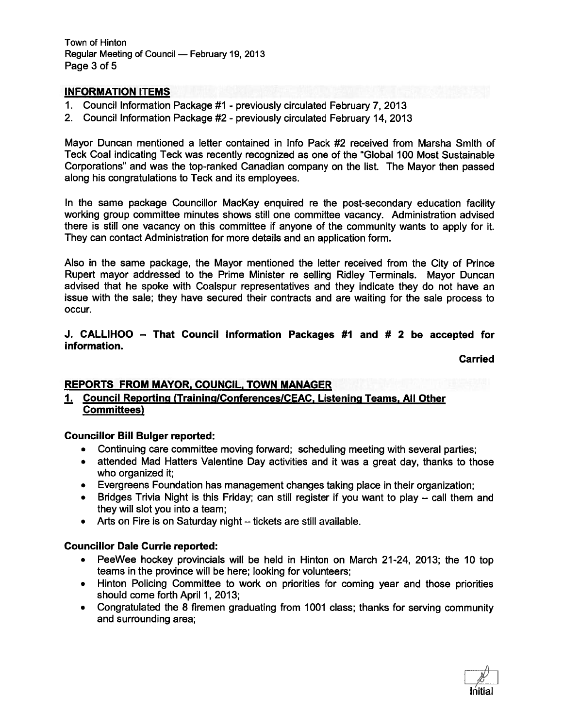Town of Hinton Regular Meeting of Council — February 19, 2013 Page 3 of 5

#### INFORMATION ITEMS

- 1. Council Information Package #1 previously circulated February 7, 2013
- 2. Council Information Package #2 previously circulated February 14, 2013

Mayor Duncan mentioned <sup>a</sup> letter contained in Info Pack #2 received from Marsha Smith of Teck Coal indicating Teck was recently recognized as one of the "Global 100 Most Sustainable Corporations" and was the top-ranked Canadian company on the list. The Mayor then passed along his congratulations to Teck and its employees.

In the same package Councillor MacKay enquired re the post-secondary education facility working group committee minutes shows still one committee vacancy. Administration advised there is still one vacancy on this committee if anyone of the community wants to apply for it. They can contact Administration for more details and an application form.

Also in the same package, the Mayor mentioned the letter received from the City of Prince Rupert mayor addressed to the Prime Minister re selling Ridley Terminals. Mayor Duncan advised that he spoke with Coalspur representatives and they indicate they do not have an issue with the sale; they have secured their contracts and are waiting for the sale process to occur.

#### J. CALLIHOO — That Council Information Packages #1 and # 2 be accepted for information.

#### Carried

#### REPORTS FROM MAYOR, COUNCIL, TOWN MANAGER

## 1. Council Reporting (TraininglConferenceslCEAC, Listening Teams, All Other Committees)

#### Councillor Bill Bulger reported:

- Continuing care committee moving forward; scheduling meeting with several parties;
- attended Mad Hatters Valentine Day activities and it was <sup>a</sup> grea<sup>t</sup> day, thanks to those who organized it;
- Evergreens Foundation has managemen<sup>t</sup> changes taking place in their organization;
- Bridges Trivia Night is this Friday; can still register if you want to play call them and they will slot you into <sup>a</sup> team;
- Arts on Fire is on Saturday night tickets are still available.

#### Councillor Dale Currie reported:

- PeeWee hockey provincials will be held in Hinton on March 21-24, 2013; the 10 top teams in the province will be here; looking for volunteers;
- Hinton Policing Committee to work on priorities for coming year and those priorities should come forth April 1, 2013;
- Congratulated the 8 firemen graduating from 1001 class; thanks for serving community and surrounding area;

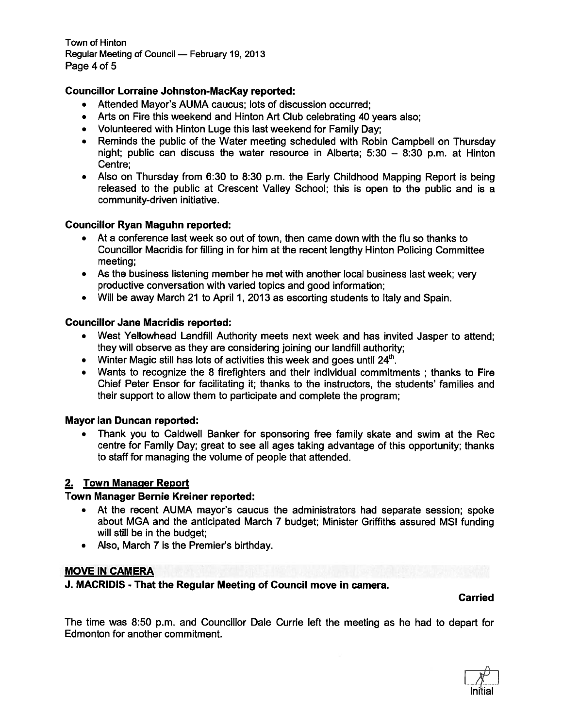Town of Hinton Regular Meeting of Council — February 19, 2013 Page 4 of 5

# Councillor Lorraine Johnston-MacKay reported:

- Attended Mayor's AUMA caucus; lots of discussion occurred;
- Arts on Fire this weekend and Hinton Art Club celebrating 40 years also;
- Volunteered with Hinton Luge this last weekend for Family Day;
- Reminds the public of the Water meeting scheduled with Robin Campbell on Thursday night; public can discuss the water resource in Alberta; 5:30 — 8:30 p.m. at Hinton Centre;
- Also on Thursday from 6:30 to 8:30 p.m. the Early Childhood Mapping Report is being released to the public at Crescent Valley School; this is open to the public and is <sup>a</sup> community-driven initiative.

## Councillor Ryan Maguhn reported:

- At <sup>a</sup> conference last week so out of town, then came down with the flu so thanks to Councillor Macridis for filling in for him at the recent lengthy Hinton Policing Committee meeting;
- As the business listening member he met with another local business last week; very productive conversation with varied topics and good information;
- Will be away March 21 to April 1, 2013 as escorting students to Italy and Spain.

# Councillor Jane Macridis reported:

- West Yellowhead Landfill Authority meets next week and has invited Jasper to attend; they will observe as they are considering joining our landfill authority;
- Winter Magic still has lots of activities this week and goes until 24<sup>th</sup>
- Wants to recognize the <sup>8</sup> firefighters and their individual commitments ; thanks to Fire Chief Peter Ensor for facilitating it; thanks to the instructors, the students' families and their suppor<sup>t</sup> to allow them to participate and complete the program;

## Mayor lan Duncan reported:

• Thank you to Caldwell Banker for sponsoring free family skate and swim at the Rec centre for Family Day; grea<sup>t</sup> to see all ages taking advantage of this opportunity; thanks to staff for managing the volume of people that attended.

## 2. Town Manager Report

## Town Manager Bernie Kreiner reported:

- At the recent AUMA mayor's caucus the administrators had separate session; spoke about MGA and the anticipated March 7 budget; Minister Griffiths assured MSI funding will still be in the budget;
- Also, March 7 is the Premier's birthday.

# MOVE IN CAMERA

J. MACRIDIS - That the Regular Meeting of Council move in camera.

#### Carried

The time was 8:50 p.m. and Councillor Dale Currie left the meeting as he had to depart for Edmonton for another commitment.